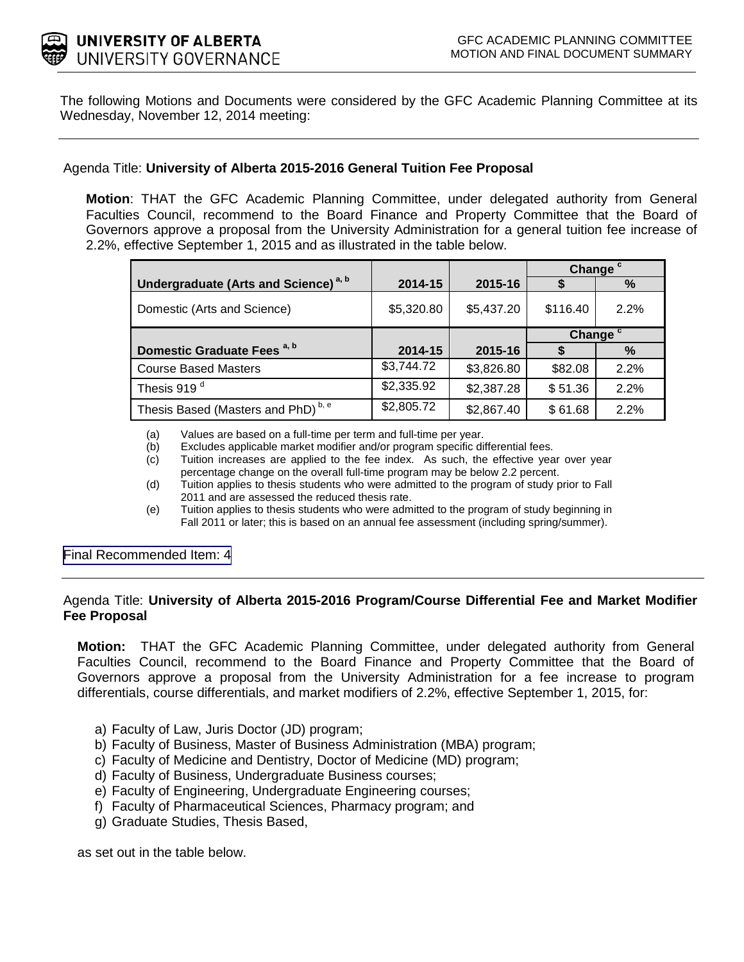

The following Motions and Documents were considered by the GFC Academic Planning Committee at its Wednesday, November 12, 2014 meeting:

# Agenda Title: **University of Alberta 2015-2016 General Tuition Fee Proposal**

**Motion**: THAT the GFC Academic Planning Committee, under delegated authority from General Faculties Council, recommend to the Board Finance and Property Committee that the Board of Governors approve a proposal from the University Administration for a general tuition fee increase of 2.2%, effective September 1, 2015 and as illustrated in the table below.

|                                                  |            |            | Change <sup>c</sup> |      |
|--------------------------------------------------|------------|------------|---------------------|------|
| Undergraduate (Arts and Science) <sup>a, b</sup> | 2014-15    | 2015-16    | \$                  | %    |
| Domestic (Arts and Science)                      | \$5,320.80 | \$5,437.20 | \$116.40            | 2.2% |
|                                                  |            |            | Change <sup>c</sup> |      |
| Domestic Graduate Fees <sup>a, b</sup>           | 2014-15    | 2015-16    |                     | $\%$ |
| <b>Course Based Masters</b>                      | \$3,744.72 | \$3,826.80 | \$82.08             | 2.2% |
| Thesis 919 <sup>d</sup>                          | \$2,335.92 | \$2,387.28 | \$51.36             | 2.2% |
| Thesis Based (Masters and PhD) <sup>b, e</sup>   | \$2,805.72 | \$2,867.40 | \$61.68             | 2.2% |

(a) Values are based on a full-time per term and full-time per year.

- (b) Excludes applicable market modifier and/or program specific differential fees.
- (c) Tuition increases are applied to the fee index. As such, the effective year over year percentage change on the overall full-time program may be below 2.2 percent.
- (d) Tuition applies to thesis students who were admitted to the program of study prior to Fall 2011 and are assessed the reduced thesis rate.
- (e) Tuition applies to thesis students who were admitted to the program of study beginning in Fall 2011 or later; this is based on an annual fee assessment (including spring/summer).

[Final Recommended Item: 4](#page-3-0)

# Agenda Title: **University of Alberta 2015-2016 Program/Course Differential Fee and Market Modifier Fee Proposal**

**Motion:** THAT the GFC Academic Planning Committee, under delegated authority from General Faculties Council, recommend to the Board Finance and Property Committee that the Board of Governors approve a proposal from the University Administration for a fee increase to program differentials, course differentials, and market modifiers of 2.2%, effective September 1, 2015, for:

- a) Faculty of Law, Juris Doctor (JD) program;
- b) Faculty of Business, Master of Business Administration (MBA) program;
- c) Faculty of Medicine and Dentistry, Doctor of Medicine (MD) program;
- d) Faculty of Business, Undergraduate Business courses;
- e) Faculty of Engineering, Undergraduate Engineering courses;
- f) Faculty of Pharmaceutical Sciences, Pharmacy program; and
- g) Graduate Studies, Thesis Based,

as set out in the table below.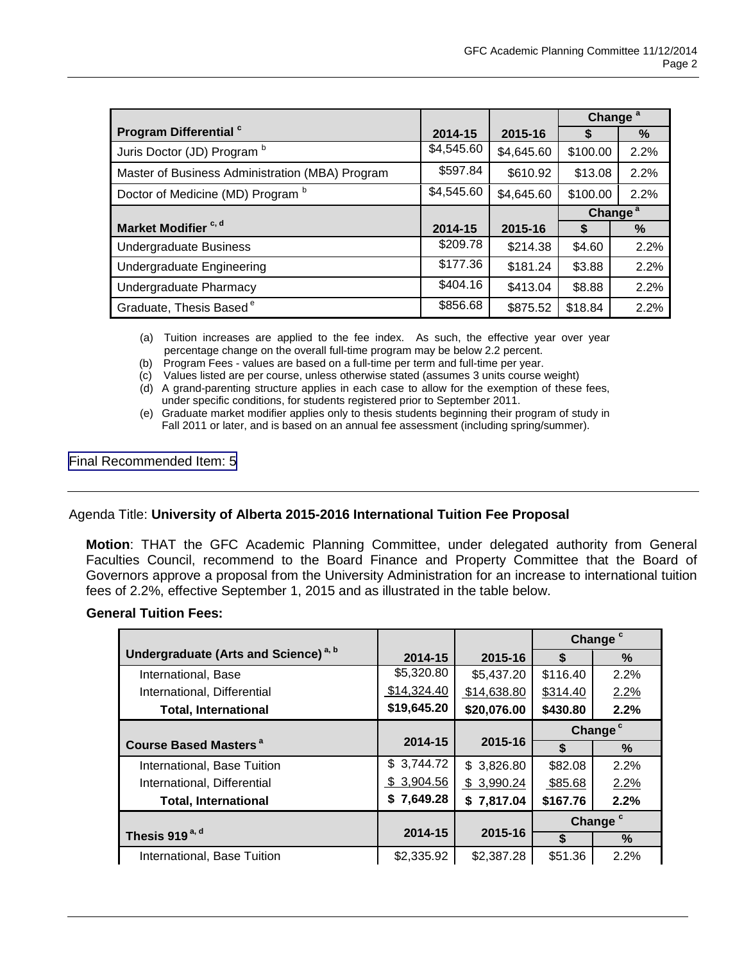|                                                 |            |            | Change <sup>a</sup> |                     |
|-------------------------------------------------|------------|------------|---------------------|---------------------|
| Program Differential <sup>c</sup>               | 2014-15    | 2015-16    |                     | %                   |
| Juris Doctor (JD) Program b                     | \$4,545.60 | \$4,645.60 | \$100.00            | 2.2%                |
| Master of Business Administration (MBA) Program | \$597.84   | \$610.92   | \$13.08             | 2.2%                |
| Doctor of Medicine (MD) Program b               | \$4,545.60 | \$4,645.60 | \$100.00            | 2.2%                |
|                                                 |            |            |                     | Change <sup>a</sup> |
| Market Modifier <sup>c, d</sup>                 | 2014-15    | 2015-16    |                     | %                   |
| <b>Undergraduate Business</b>                   | \$209.78   | \$214.38   | \$4.60              | 2.2%                |
| <b>Undergraduate Engineering</b>                | \$177.36   | \$181.24   | \$3.88              | 2.2%                |
| Undergraduate Pharmacy                          | \$404.16   | \$413.04   | \$8.88              | 2.2%                |
| Graduate, Thesis Based <sup>e</sup>             | \$856.68   | \$875.52   | \$18.84             | 2.2%                |

(a) Tuition increases are applied to the fee index. As such, the effective year over year percentage change on the overall full-time program may be below 2.2 percent.

(b) Program Fees - values are based on a full-time per term and full-time per year.

(c) Values listed are per course, unless otherwise stated (assumes 3 units course weight)

(d) A grand-parenting structure applies in each case to allow for the exemption of these fees, under specific conditions, for students registered prior to September 2011.

(e) Graduate market modifier applies only to thesis students beginning their program of study in Fall 2011 or later, and is based on an annual fee assessment (including spring/summer).

[Final Recommended Item: 5](#page-11-0)

# Agenda Title: **University of Alberta 2015-2016 International Tuition Fee Proposal**

**Motion**: THAT the GFC Academic Planning Committee, under delegated authority from General Faculties Council, recommend to the Board Finance and Property Committee that the Board of Governors approve a proposal from the University Administration for an increase to international tuition fees of 2.2%, effective September 1, 2015 and as illustrated in the table below.

# **General Tuition Fees:**

|                                                  |             |             | Change <sup>c</sup> |                     |
|--------------------------------------------------|-------------|-------------|---------------------|---------------------|
| Undergraduate (Arts and Science) <sup>a, b</sup> | 2014-15     | 2015-16     | S                   | %                   |
| International, Base                              | \$5,320.80  | \$5,437.20  | \$116.40            | 2.2%                |
| International, Differential                      | \$14,324.40 | \$14,638.80 | \$314.40            | 2.2%                |
| <b>Total, International</b>                      | \$19,645.20 | \$20,076.00 | \$430.80            | 2.2%                |
|                                                  |             |             | Change <sup>c</sup> |                     |
| <b>Course Based Masters<sup>a</sup></b>          | 2014-15     | 2015-16     | \$                  | $\%$                |
| International, Base Tuition                      | \$3,744.72  | \$3,826.80  | \$82.08             | 2.2%                |
| International, Differential                      | \$3,904.56  | \$3,990.24  | \$85.68             | 2.2%                |
| <b>Total, International</b>                      | \$7,649.28  | \$7,817.04  | \$167.76            | 2.2%                |
|                                                  |             |             |                     | Change <sup>c</sup> |
| Thesis 919 <sup>a, d</sup>                       | 2014-15     | 2015-16     | \$                  | $\%$                |
| International, Base Tuition                      | \$2,335.92  | \$2,387.28  | \$51.36             | 2.2%                |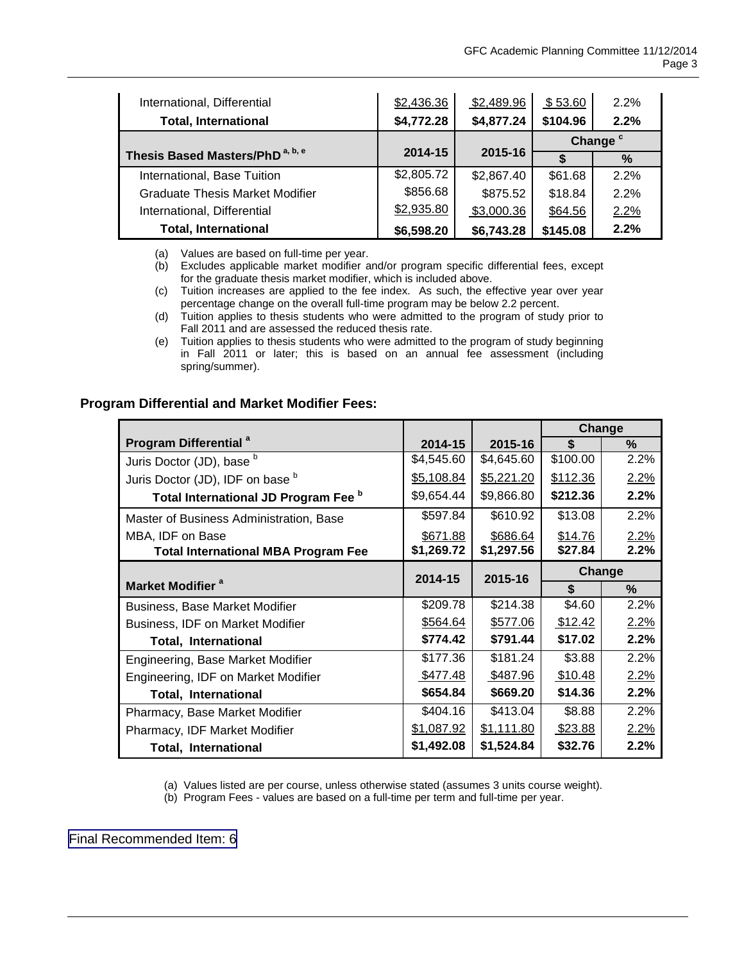| International, Differential                 | \$2,436.36 | \$2,489.96 | \$53.60  | 2.2%                |
|---------------------------------------------|------------|------------|----------|---------------------|
| <b>Total, International</b>                 | \$4,772.28 | \$4,877.24 | \$104.96 | 2.2%                |
|                                             |            |            |          | Change <sup>c</sup> |
| Thesis Based Masters/PhD <sup>a, b, e</sup> | 2014-15    | 2015-16    |          | $\%$                |
| International, Base Tuition                 | \$2,805.72 | \$2,867.40 | \$61.68  | 2.2%                |
| <b>Graduate Thesis Market Modifier</b>      | \$856.68   | \$875.52   | \$18.84  | 2.2%                |
| International, Differential                 | \$2,935.80 | \$3,000.36 | \$64.56  | 2.2%                |
| <b>Total, International</b>                 | \$6,598.20 | \$6,743.28 | \$145.08 | 2.2%                |

(a) Values are based on full-time per year.

- (b) Excludes applicable market modifier and/or program specific differential fees, except for the graduate thesis market modifier, which is included above.
- (c) Tuition increases are applied to the fee index. As such, the effective year over year percentage change on the overall full-time program may be below 2.2 percent.
- (d) Tuition applies to thesis students who were admitted to the program of study prior to Fall 2011 and are assessed the reduced thesis rate.
- (e) Tuition applies to thesis students who were admitted to the program of study beginning in Fall 2011 or later; this is based on an annual fee assessment (including spring/summer).

#### **Program Differential and Market Modifier Fees:**

|                                            |            |            |          | <b>Change</b> |
|--------------------------------------------|------------|------------|----------|---------------|
| Program Differential <sup>a</sup>          | 2014-15    | 2015-16    | \$       | %             |
| Juris Doctor (JD), base b                  | \$4,545.60 | \$4,645.60 | \$100.00 | 2.2%          |
| Juris Doctor (JD), IDF on base b           | \$5,108.84 | \$5,221.20 | \$112.36 | 2.2%          |
| Total International JD Program Fee b       | \$9,654.44 | \$9,866.80 | \$212.36 | 2.2%          |
| Master of Business Administration, Base    | \$597.84   | \$610.92   | \$13.08  | 2.2%          |
| MBA, IDF on Base                           | \$671.88   | \$686.64   | \$14.76  | 2.2%          |
| <b>Total International MBA Program Fee</b> | \$1,269.72 | \$1,297.56 | \$27.84  | 2.2%          |
|                                            | 2014-15    | 2015-16    |          | Change        |
| Market Modifier <sup>a</sup>               |            |            | \$       | $\%$          |
| <b>Business, Base Market Modifier</b>      | \$209.78   | \$214.38   | \$4.60   | 2.2%          |
| Business, IDF on Market Modifier           | \$564.64   | \$577.06   | \$12.42  | 2.2%          |
| <b>Total, International</b>                | \$774.42   | \$791.44   | \$17.02  | 2.2%          |
| Engineering, Base Market Modifier          | \$177.36   | \$181.24   | \$3.88   | 2.2%          |
| Engineering, IDF on Market Modifier        | \$477.48   | \$487.96   | \$10.48  | $2.2\%$       |
| <b>Total, International</b>                | \$654.84   | \$669.20   | \$14.36  | 2.2%          |
| Pharmacy, Base Market Modifier             | \$404.16   | \$413.04   | \$8.88   | 2.2%          |
| Pharmacy, IDF Market Modifier              | \$1,087.92 | \$1,111.80 | \$23.88  | $2.2\%$       |
| <b>Total, International</b>                | \$1,492.08 | \$1,524.84 | \$32.76  | 2.2%          |

(a) Values listed are per course, unless otherwise stated (assumes 3 units course weight).

(b) Program Fees - values are based on a full-time per term and full-time per year.

[Final Recommended Item: 6](#page-14-0)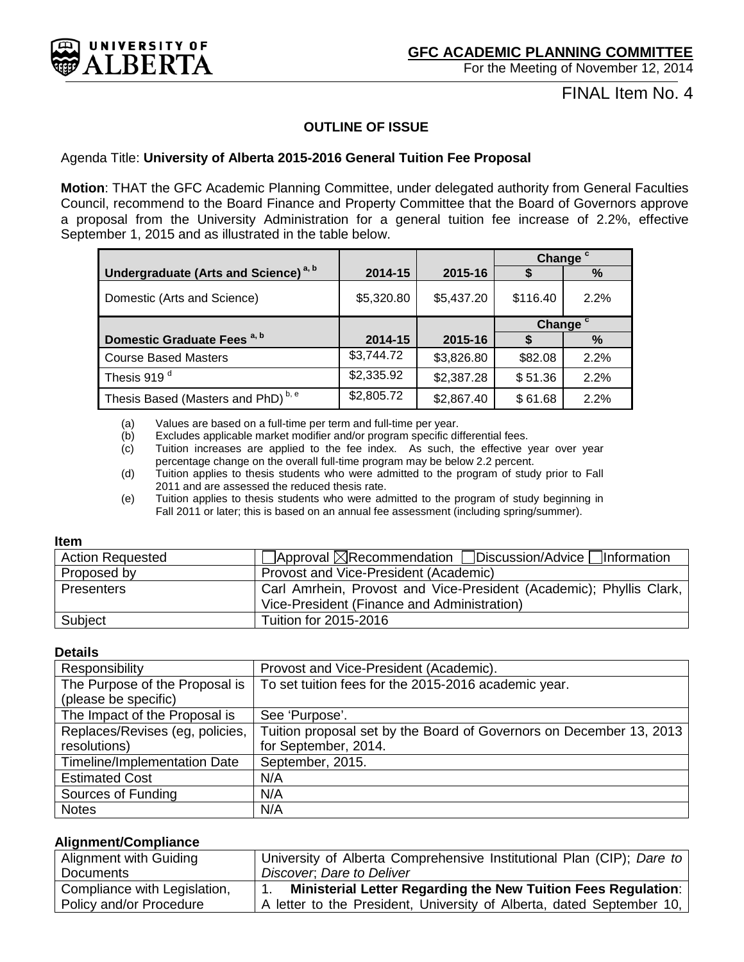<span id="page-3-0"></span>

FINAL Item No. 4

# **OUTLINE OF ISSUE**

# Agenda Title: **University of Alberta 2015-2016 General Tuition Fee Proposal**

**Motion**: THAT the GFC Academic Planning Committee, under delegated authority from General Faculties Council, recommend to the Board Finance and Property Committee that the Board of Governors approve a proposal from the University Administration for a general tuition fee increase of 2.2%, effective September 1, 2015 and as illustrated in the table below.

|                                                  |            |            | Change <sup>c</sup> |      |
|--------------------------------------------------|------------|------------|---------------------|------|
| Undergraduate (Arts and Science) <sup>a, b</sup> | 2014-15    | 2015-16    |                     | %    |
| Domestic (Arts and Science)                      | \$5,320.80 | \$5,437.20 | \$116.40            | 2.2% |
|                                                  |            |            | Change <sup>c</sup> |      |
| Domestic Graduate Fees <sup>a, b</sup>           | 2014-15    | 2015-16    |                     | %    |
| <b>Course Based Masters</b>                      | \$3,744.72 | \$3,826.80 | \$82.08             | 2.2% |
| Thesis 919 <sup>d</sup>                          | \$2,335.92 | \$2,387.28 | \$51.36             | 2.2% |
| Thesis Based (Masters and PhD) <sup>b, e</sup>   | \$2,805.72 | \$2,867.40 | \$61.68             | 2.2% |

(a) Values are based on a full-time per term and full-time per year.

(b) Excludes applicable market modifier and/or program specific differential fees.

(c) Tuition increases are applied to the fee index. As such, the effective year over year percentage change on the overall full-time program may be below 2.2 percent.

(d) Tuition applies to thesis students who were admitted to the program of study prior to Fall 2011 and are assessed the reduced thesis rate.

(e) Tuition applies to thesis students who were admitted to the program of study beginning in Fall 2011 or later; this is based on an annual fee assessment (including spring/summer).

#### **Item**

| <b>Action Requested</b> | $\Box$ Approval $\boxtimes$ Recommendation $\Box$ Discussion/Advice $\Box$ Information |
|-------------------------|----------------------------------------------------------------------------------------|
| Proposed by             | Provost and Vice-President (Academic)                                                  |
| Presenters              | Carl Amrhein, Provost and Vice-President (Academic); Phyllis Clark,                    |
|                         | Vice-President (Finance and Administration)                                            |
| Subject                 | Tuition for 2015-2016                                                                  |

#### **Details**

| Responsibility                      | Provost and Vice-President (Academic).                              |
|-------------------------------------|---------------------------------------------------------------------|
| The Purpose of the Proposal is      | To set tuition fees for the 2015-2016 academic year.                |
| (please be specific)                |                                                                     |
| The Impact of the Proposal is       | See 'Purpose'.                                                      |
| Replaces/Revises (eg, policies,     | Tuition proposal set by the Board of Governors on December 13, 2013 |
| resolutions)                        | for September, 2014.                                                |
| <b>Timeline/Implementation Date</b> | September, 2015.                                                    |
| <b>Estimated Cost</b>               | N/A                                                                 |
| Sources of Funding                  | N/A                                                                 |
| <b>Notes</b>                        | N/A                                                                 |

# **Alignment/Compliance**

| Alignment with Guiding       | University of Alberta Comprehensive Institutional Plan (CIP); Dare to |
|------------------------------|-----------------------------------------------------------------------|
| <b>Documents</b>             | Discover, Dare to Deliver                                             |
| Compliance with Legislation, | <b>Ministerial Letter Regarding the New Tuition Fees Regulation:</b>  |
| Policy and/or Procedure      | A letter to the President, University of Alberta, dated September 10, |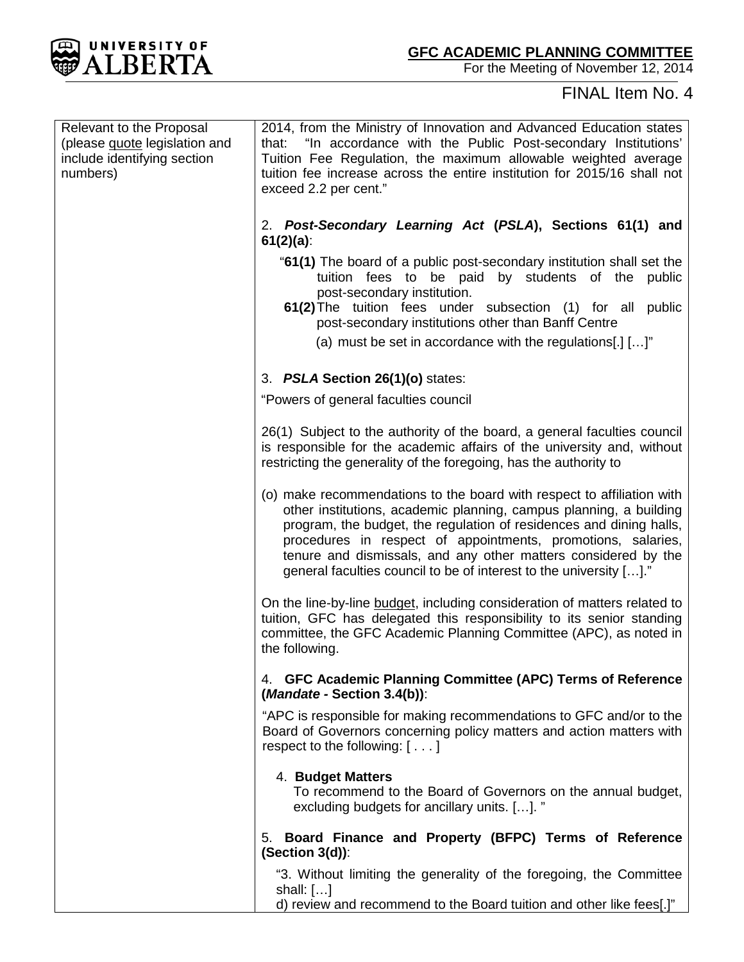

# FINAL Item No. 4

| Relevant to the Proposal<br>(please guote legislation and<br>include identifying section<br>numbers) | 2014, from the Ministry of Innovation and Advanced Education states<br>that: "In accordance with the Public Post-secondary Institutions'<br>Tuition Fee Regulation, the maximum allowable weighted average<br>tuition fee increase across the entire institution for 2015/16 shall not<br>exceed 2.2 per cent."                                                                                                             |
|------------------------------------------------------------------------------------------------------|-----------------------------------------------------------------------------------------------------------------------------------------------------------------------------------------------------------------------------------------------------------------------------------------------------------------------------------------------------------------------------------------------------------------------------|
|                                                                                                      | 2. Post-Secondary Learning Act (PSLA), Sections 61(1) and<br>$61(2)(a)$ :                                                                                                                                                                                                                                                                                                                                                   |
|                                                                                                      | "61(1) The board of a public post-secondary institution shall set the<br>tuition fees to be paid by students of the<br>public<br>post-secondary institution.<br>61(2) The tuition fees under subsection (1) for all<br>public                                                                                                                                                                                               |
|                                                                                                      | post-secondary institutions other than Banff Centre                                                                                                                                                                                                                                                                                                                                                                         |
|                                                                                                      | (a) must be set in accordance with the regulations[.] $[]$                                                                                                                                                                                                                                                                                                                                                                  |
|                                                                                                      | 3. PSLA Section 26(1)(o) states:                                                                                                                                                                                                                                                                                                                                                                                            |
|                                                                                                      | "Powers of general faculties council                                                                                                                                                                                                                                                                                                                                                                                        |
|                                                                                                      | 26(1) Subject to the authority of the board, a general faculties council<br>is responsible for the academic affairs of the university and, without<br>restricting the generality of the foregoing, has the authority to                                                                                                                                                                                                     |
|                                                                                                      | (o) make recommendations to the board with respect to affiliation with<br>other institutions, academic planning, campus planning, a building<br>program, the budget, the regulation of residences and dining halls,<br>procedures in respect of appointments, promotions, salaries,<br>tenure and dismissals, and any other matters considered by the<br>general faculties council to be of interest to the university []." |
|                                                                                                      | On the line-by-line budget, including consideration of matters related to<br>tuition, GFC has delegated this responsibility to its senior standing<br>committee, the GFC Academic Planning Committee (APC), as noted in<br>the following.                                                                                                                                                                                   |
|                                                                                                      | 4. GFC Academic Planning Committee (APC) Terms of Reference<br>(Mandate - Section 3.4(b)):                                                                                                                                                                                                                                                                                                                                  |
|                                                                                                      | "APC is responsible for making recommendations to GFC and/or to the<br>Board of Governors concerning policy matters and action matters with<br>respect to the following: []                                                                                                                                                                                                                                                 |
|                                                                                                      | 4. Budget Matters<br>To recommend to the Board of Governors on the annual budget,<br>excluding budgets for ancillary units. []. "                                                                                                                                                                                                                                                                                           |
|                                                                                                      | Board Finance and Property (BFPC) Terms of Reference<br>5.<br>$(Section 3(d))$ :                                                                                                                                                                                                                                                                                                                                            |
|                                                                                                      | "3. Without limiting the generality of the foregoing, the Committee<br>shall: $[]$<br>d) review and recommend to the Board tuition and other like fees[.]"                                                                                                                                                                                                                                                                  |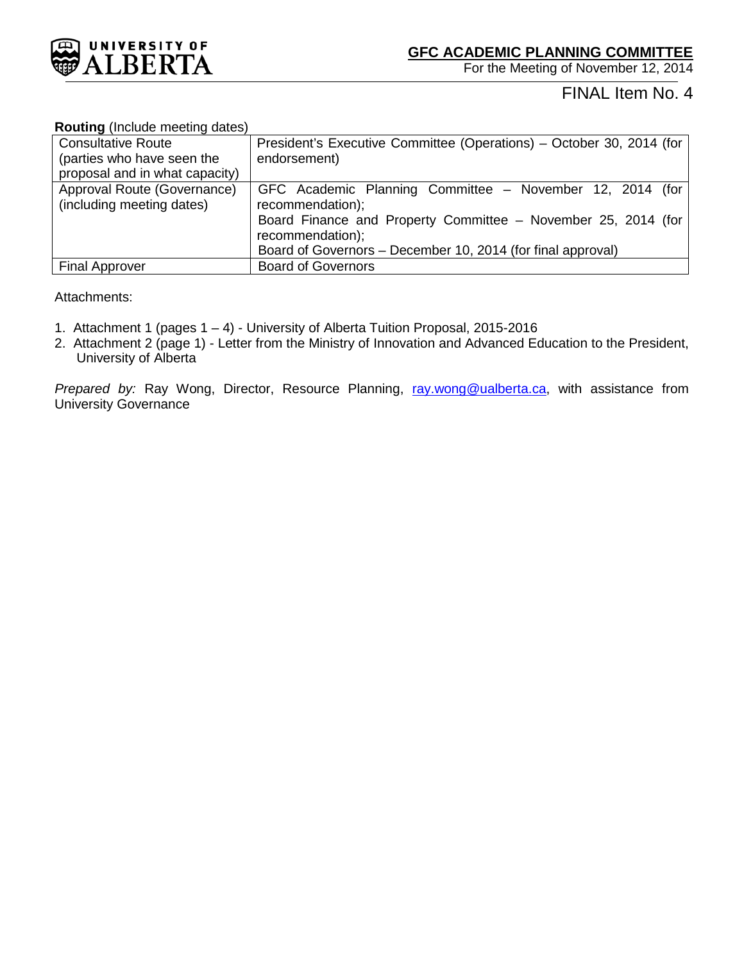

# FINAL Item No. 4

#### **Routing** (Include meeting dates)

| <b>Consultative Route</b>      | President's Executive Committee (Operations) – October 30, 2014 (for |
|--------------------------------|----------------------------------------------------------------------|
| (parties who have seen the     | endorsement)                                                         |
| proposal and in what capacity) |                                                                      |
| Approval Route (Governance)    | GFC Academic Planning Committee - November 12, 2014 (for             |
| (including meeting dates)      | recommendation);                                                     |
|                                | Board Finance and Property Committee - November 25, 2014 (for        |
|                                | recommendation);                                                     |
|                                | Board of Governors - December 10, 2014 (for final approval)          |
| <b>Final Approver</b>          | <b>Board of Governors</b>                                            |

# Attachments:

- 1. Attachment 1 (pages 1 4) University of Alberta Tuition Proposal, 2015-2016
- 2. Attachment 2 (page 1) Letter from the Ministry of Innovation and Advanced Education to the President, University of Alberta

*Prepared by:* Ray Wong, Director, Resource Planning, [ray.wong@ualberta.ca,](mailto:ray.wong@ualberta.ca) with assistance from University Governance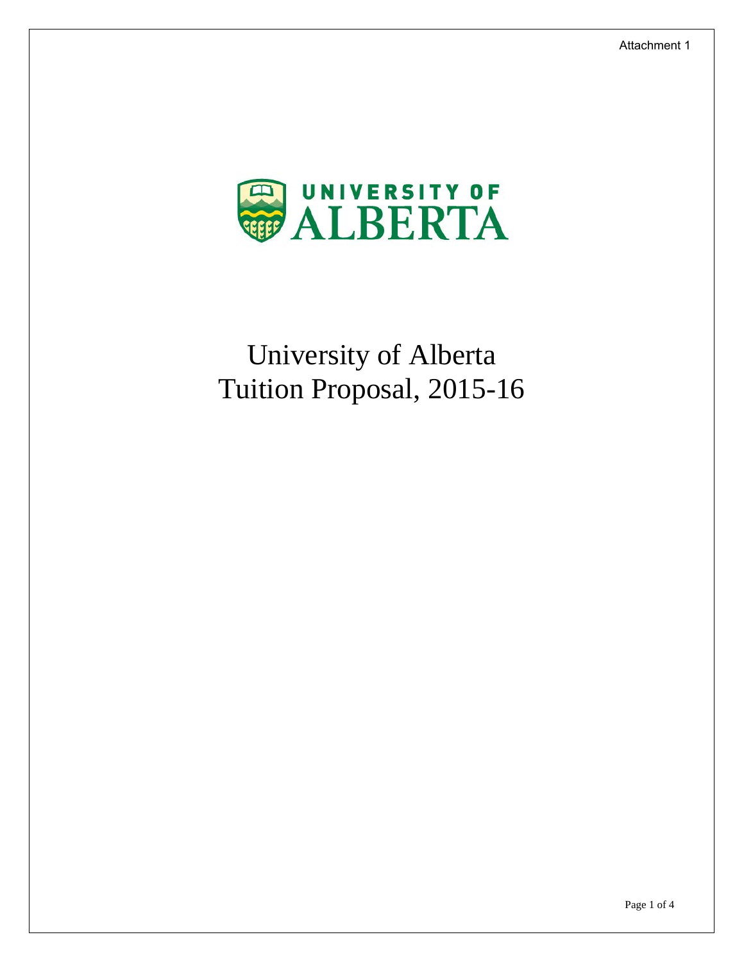

# University of Alberta Tuition Proposal, 2015-16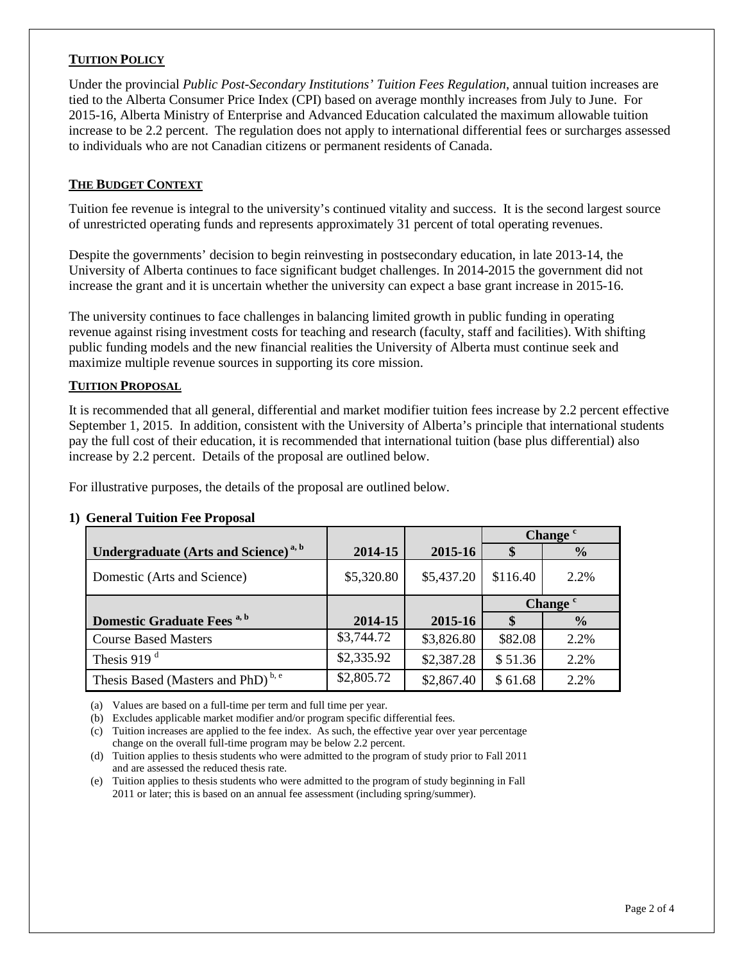# **TUITION POLICY**

Under the provincial *Public Post-Secondary Institutions' Tuition Fees Regulation*, annual tuition increases are tied to the Alberta Consumer Price Index (CPI) based on average monthly increases from July to June. For 2015-16, Alberta Ministry of Enterprise and Advanced Education calculated the maximum allowable tuition increase to be 2.2 percent. The regulation does not apply to international differential fees or surcharges assessed to individuals who are not Canadian citizens or permanent residents of Canada.

# **THE BUDGET CONTEXT**

Tuition fee revenue is integral to the university's continued vitality and success. It is the second largest source of unrestricted operating funds and represents approximately 31 percent of total operating revenues.

Despite the governments' decision to begin reinvesting in postsecondary education, in late 2013-14, the University of Alberta continues to face significant budget challenges. In 2014-2015 the government did not increase the grant and it is uncertain whether the university can expect a base grant increase in 2015-16.

The university continues to face challenges in balancing limited growth in public funding in operating revenue against rising investment costs for teaching and research (faculty, staff and facilities). With shifting public funding models and the new financial realities the University of Alberta must continue seek and maximize multiple revenue sources in supporting its core mission.

#### **TUITION PROPOSAL**

It is recommended that all general, differential and market modifier tuition fees increase by 2.2 percent effective September 1, 2015. In addition, consistent with the University of Alberta's principle that international students pay the full cost of their education, it is recommended that international tuition (base plus differential) also increase by 2.2 percent. Details of the proposal are outlined below.

For illustrative purposes, the details of the proposal are outlined below.

|                                                  |            |            | Change <sup>c</sup> |                     |
|--------------------------------------------------|------------|------------|---------------------|---------------------|
| Undergraduate (Arts and Science) <sup>a, b</sup> | 2014-15    | 2015-16    | S                   | $\frac{0}{0}$       |
| Domestic (Arts and Science)                      | \$5,320.80 | \$5,437.20 | \$116.40            | 2.2%                |
|                                                  |            |            |                     | Change <sup>c</sup> |
| Domestic Graduate Fees <sup>a, b</sup>           | 2014-15    | 2015-16    | $\mathbf{\$}$       | $\frac{0}{0}$       |
| <b>Course Based Masters</b>                      | \$3,744.72 | \$3,826.80 | \$82.08             | 2.2%                |
| Thesis 919 $d$                                   | \$2,335.92 | \$2,387.28 | \$51.36             | 2.2%                |
| Thesis Based (Masters and PhD) <sup>b, e</sup>   | \$2,805.72 | \$2,867.40 | \$61.68             | 2.2%                |

# **1) General Tuition Fee Proposal**

(a) Values are based on a full-time per term and full time per year.

(b) Excludes applicable market modifier and/or program specific differential fees.

(c) Tuition increases are applied to the fee index. As such, the effective year over year percentage change on the overall full-time program may be below 2.2 percent.

(d) Tuition applies to thesis students who were admitted to the program of study prior to Fall 2011 and are assessed the reduced thesis rate.

(e) Tuition applies to thesis students who were admitted to the program of study beginning in Fall 2011 or later; this is based on an annual fee assessment (including spring/summer).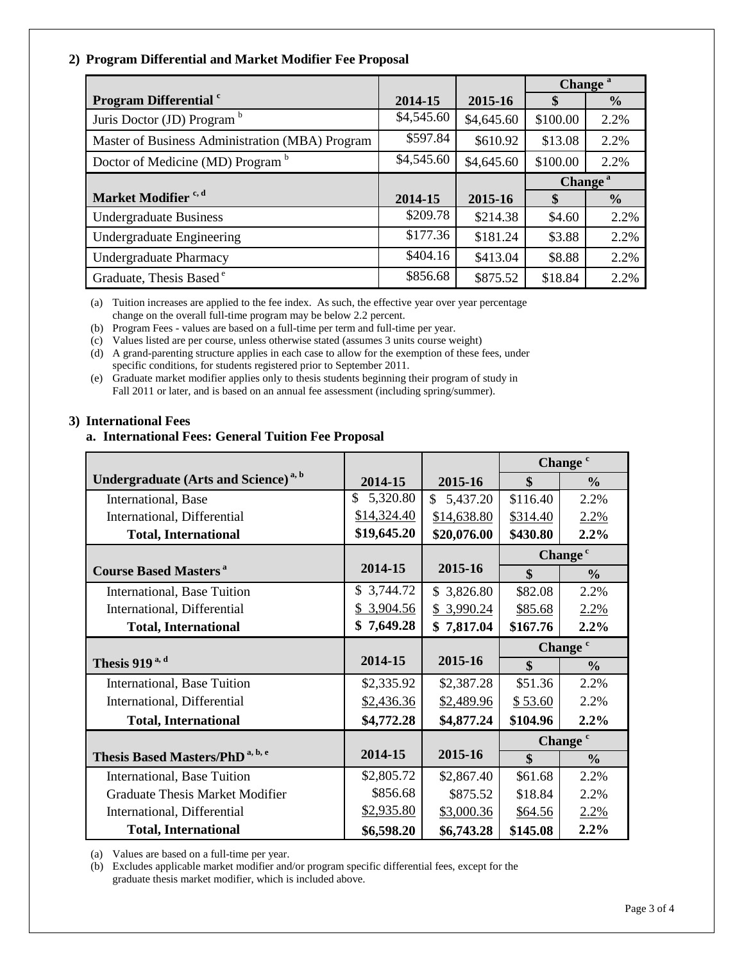# **2) Program Differential and Market Modifier Fee Proposal**

|                                                 |            |            | Change <sup>a</sup> |               |
|-------------------------------------------------|------------|------------|---------------------|---------------|
| <b>Program Differential</b> c                   | 2014-15    | 2015-16    | \$                  | $\frac{0}{0}$ |
| Juris Doctor (JD) Program <sup>b</sup>          | \$4,545.60 | \$4,645.60 | \$100.00            | 2.2%          |
| Master of Business Administration (MBA) Program | \$597.84   | \$610.92   | \$13.08             | 2.2%          |
| Doctor of Medicine (MD) Program <sup>b</sup>    | \$4,545.60 | \$4,645.60 | \$100.00            | 2.2%          |
|                                                 |            |            | Change <sup>a</sup> |               |
| Market Modifier <sup>c, d</sup>                 | 2014-15    | 2015-16    | \$                  | $\frac{6}{6}$ |
| <b>Undergraduate Business</b>                   | \$209.78   | \$214.38   | \$4.60              | 2.2%          |
| Undergraduate Engineering                       | \$177.36   | \$181.24   | \$3.88              | 2.2%          |
| <b>Undergraduate Pharmacy</b>                   | \$404.16   | \$413.04   | \$8.88              | 2.2%          |
| Graduate, Thesis Based <sup>e</sup>             | \$856.68   | \$875.52   | \$18.84             | 2.2%          |

(a) Tuition increases are applied to the fee index. As such, the effective year over year percentage change on the overall full-time program may be below 2.2 percent.

(b) Program Fees - values are based on a full-time per term and full-time per year.

(c) Values listed are per course, unless otherwise stated (assumes 3 units course weight)

(d) A grand-parenting structure applies in each case to allow for the exemption of these fees, under specific conditions, for students registered prior to September 2011.

(e) Graduate market modifier applies only to thesis students beginning their program of study in Fall 2011 or later, and is based on an annual fee assessment (including spring/summer).

# **3) International Fees**

#### **a. International Fees: General Tuition Fee Proposal**

|                                                         |                |             | Change <sup>c</sup> |                     |
|---------------------------------------------------------|----------------|-------------|---------------------|---------------------|
| <b>Undergraduate (Arts and Science)</b> <sup>a, b</sup> | 2014-15        | 2015-16     | \$                  | $\frac{0}{0}$       |
| International, Base                                     | \$<br>5,320.80 | \$5,437.20  | \$116.40            | 2.2%                |
| International, Differential                             | \$14,324.40    | \$14,638.80 | \$314.40            | 2.2%                |
| <b>Total, International</b>                             | \$19,645.20    | \$20,076.00 | \$430.80            | 2.2%                |
|                                                         |                |             |                     | Change <sup>c</sup> |
| <b>Course Based Masters<sup>a</sup></b>                 | 2014-15        | 2015-16     | $\mathbf{\$}$       | $\frac{0}{0}$       |
| International, Base Tuition                             | \$3,744.72     | \$3,826.80  | \$82.08             | 2.2%                |
| International, Differential                             | 3,904.56       | \$3,990.24  | \$85.68             | 2.2%                |
| <b>Total, International</b>                             | \$7,649.28     | \$7,817.04  | \$167.76            | 2.2%                |
|                                                         |                |             |                     | Change <sup>c</sup> |
| Thesis 919 $a, d$                                       | 2014-15        | 2015-16     | \$                  | $\frac{0}{0}$       |
| International, Base Tuition                             | \$2,335.92     | \$2,387.28  | \$51.36             | 2.2%                |
| International, Differential                             | \$2,436.36     | \$2,489.96  | \$53.60             | 2.2%                |
| <b>Total, International</b>                             | \$4,772.28     | \$4,877.24  | \$104.96            | 2.2%                |
|                                                         |                |             | Change <sup>c</sup> |                     |
| Thesis Based Masters/PhD <sup>a, b, e</sup>             | 2014-15        | 2015-16     | \$                  | $\frac{0}{0}$       |
| International, Base Tuition                             | \$2,805.72     | \$2,867.40  | \$61.68             | 2.2%                |
| <b>Graduate Thesis Market Modifier</b>                  | \$856.68       | \$875.52    | \$18.84             | 2.2%                |
| International, Differential                             | \$2,935.80     | \$3,000.36  | \$64.56             | 2.2%                |
| <b>Total, International</b>                             | \$6,598.20     | \$6,743.28  | \$145.08            | 2.2%                |

(a) Values are based on a full-time per year.

(b) Excludes applicable market modifier and/or program specific differential fees, except for the graduate thesis market modifier, which is included above.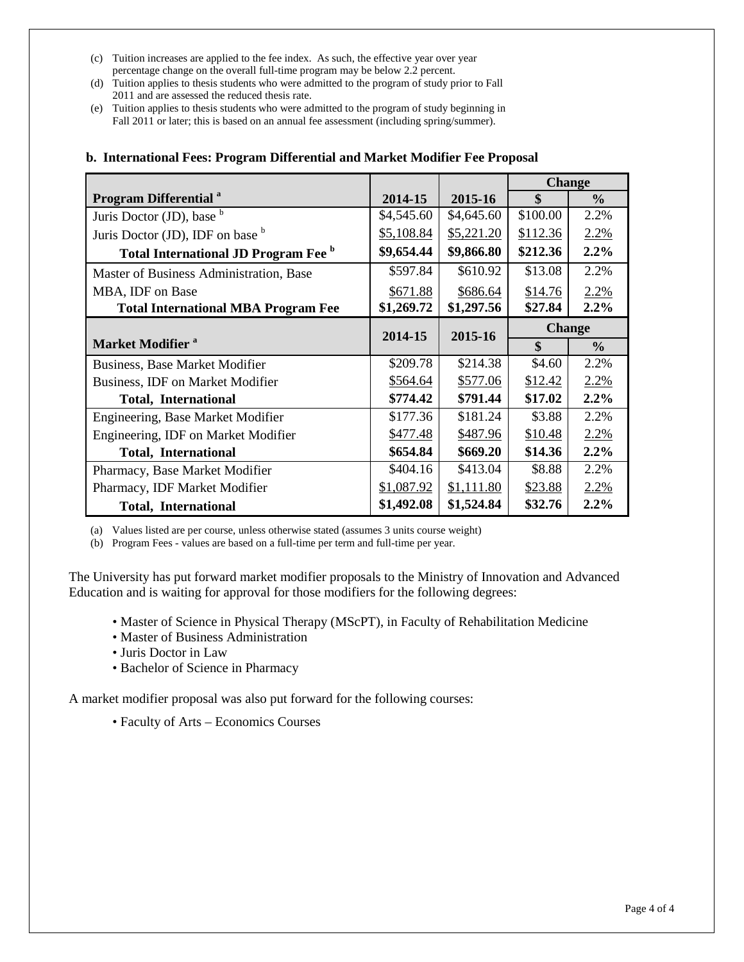- (c) Tuition increases are applied to the fee index. As such, the effective year over year percentage change on the overall full-time program may be below 2.2 percent.
- (d) Tuition applies to thesis students who were admitted to the program of study prior to Fall 2011 and are assessed the reduced thesis rate.
- (e) Tuition applies to thesis students who were admitted to the program of study beginning in Fall 2011 or later; this is based on an annual fee assessment (including spring/summer).

|                                            |            |            | <b>Change</b> |               |  |
|--------------------------------------------|------------|------------|---------------|---------------|--|
| <b>Program Differential</b> <sup>a</sup>   | 2014-15    | 2015-16    | \$            | $\frac{0}{0}$ |  |
| Juris Doctor (JD), base $b$                | \$4,545.60 | \$4,645.60 | \$100.00      | 2.2%          |  |
| Juris Doctor (JD), IDF on base b           | \$5,108.84 | \$5,221.20 | \$112.36      | 2.2%          |  |
| Total International JD Program Fee b       | \$9,654.44 | \$9,866.80 | \$212.36      | 2.2%          |  |
| Master of Business Administration, Base    | \$597.84   | \$610.92   | \$13.08       | 2.2%          |  |
| MBA, IDF on Base                           | \$671.88   | \$686.64   | \$14.76       | 2.2%          |  |
| <b>Total International MBA Program Fee</b> | \$1,269.72 | \$1,297.56 | \$27.84       | 2.2%          |  |
|                                            | 2014-15    |            |               | <b>Change</b> |  |
| <b>Market Modifier</b> <sup>a</sup>        |            | 2015-16    | \$            | $\frac{0}{0}$ |  |
| <b>Business, Base Market Modifier</b>      | \$209.78   | \$214.38   | \$4.60        | 2.2%          |  |
| Business, IDF on Market Modifier           | \$564.64   | \$577.06   | \$12.42       | 2.2%          |  |
| <b>Total, International</b>                | \$774.42   | \$791.44   | \$17.02       | 2.2%          |  |
| Engineering, Base Market Modifier          | \$177.36   | \$181.24   | \$3.88        | 2.2%          |  |
| Engineering, IDF on Market Modifier        | \$477.48   | \$487.96   | \$10.48       | 2.2%          |  |
| <b>Total, International</b>                | \$654.84   | \$669.20   | \$14.36       | 2.2%          |  |
| Pharmacy, Base Market Modifier             | \$404.16   | \$413.04   | \$8.88        | 2.2%          |  |
| Pharmacy, IDF Market Modifier              | \$1,087.92 | \$1,111.80 | \$23.88       | 2.2%          |  |
| <b>Total, International</b>                | \$1,492.08 | \$1,524.84 | \$32.76       | 2.2%          |  |

# **b. International Fees: Program Differential and Market Modifier Fee Proposal**

(a) Values listed are per course, unless otherwise stated (assumes 3 units course weight)

(b) Program Fees - values are based on a full-time per term and full-time per year.

The University has put forward market modifier proposals to the Ministry of Innovation and Advanced Education and is waiting for approval for those modifiers for the following degrees:

- Master of Science in Physical Therapy (MScPT), in Faculty of Rehabilitation Medicine
- Master of Business Administration
- Juris Doctor in Law
- Bachelor of Science in Pharmacy

A market modifier proposal was also put forward for the following courses:

• Faculty of Arts – Economics Courses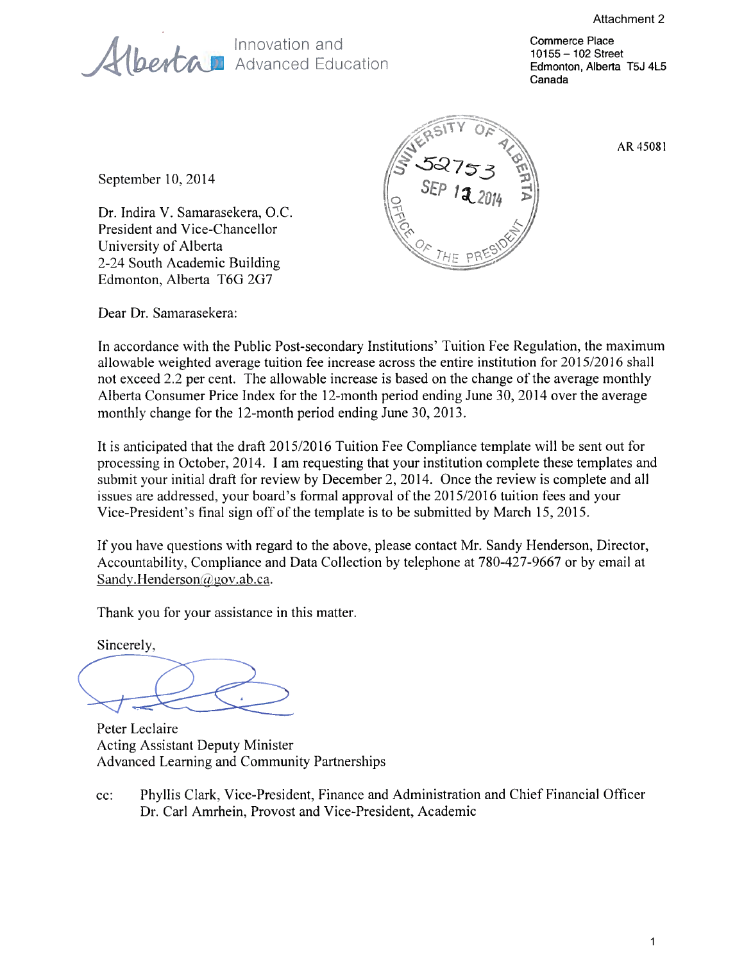Innovation and<br>**(bertan** Advanced Education

Commerce Place 10155 - 102 Street Edmonton, Alberta T5J 4L5 Canada

September 10, 2014

Dr. Indira V. Samarasekera, O.C. President and Vice-Chancellor University of Alberta 2-24 South Academic Building Edmonton, Alberta T6G 2G7



AR 45081

Dear Dr. Samarasekera:

In accordance with the Public Post-secondary Institutions' Tuition Fee Regulation, the maximum allowable weighted average tuition fee increase across the entire institution for 2015/2016 shall not exceed 2.2 per cent. The allowable increase is based on the change of the average monthly Alberta Consumer Price Index for the 12-month period ending June 30, 2014 over the average monthly change for the 12-month period ending June 30, 2013.

It is anticipated that the draft 2015/2016 Tuition Fee Compliance template will be sent out for processing in October, 2014. I am requesting that your institution complete these templates and submit your initial draft for review by December 2, 2014. Once the review is complete and all issues are addressed, your board's formal approval of the 2015/2016 tuition fees and your Vice-President's final sign off of the template is to be submitted by March 15, 2015.

If you have questions with regard to the above, please contact Mr. Sandy Henderson, Director, Accountability, Compliance and Data Collection by telephone at 780-427-9667 or by email at Sandy.Henderson@gov.ab.ca.

Thank you for your assistance in this matter.

Sincerely,

Peter Leclaire **Acting Assistant Deputy Minister** Advanced Learning and Community Partnerships

Phyllis Clark, Vice-President, Finance and Administration and Chief Financial Officer  $cc$ : Dr. Carl Amrhein, Provost and Vice-President, Academic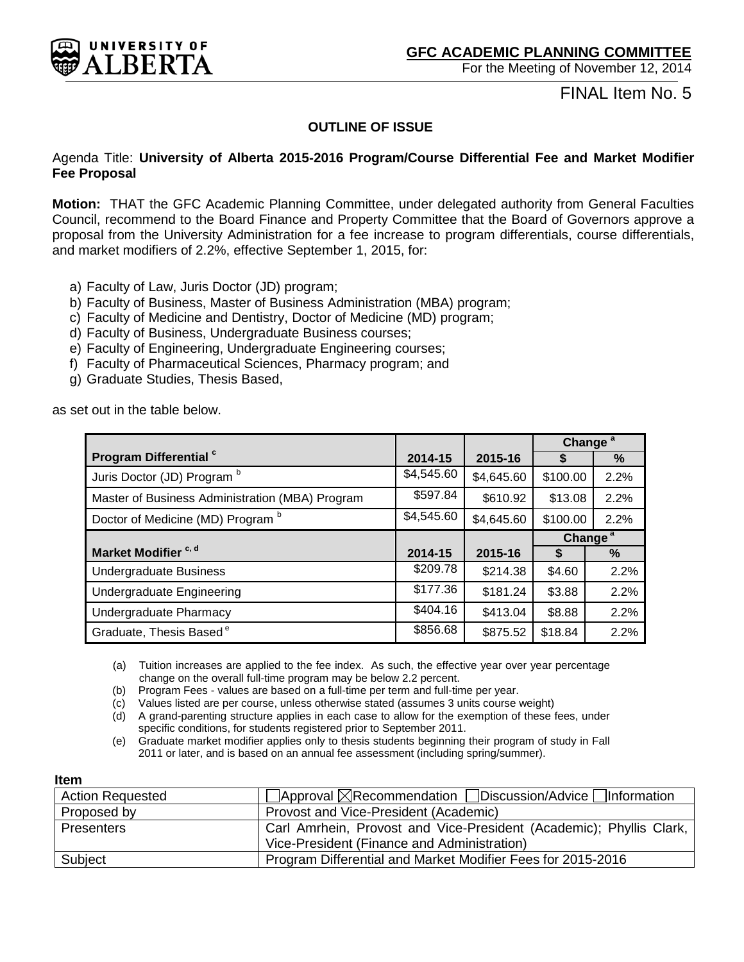<span id="page-11-0"></span>

FINAL Item No. 5

# **OUTLINE OF ISSUE**

# Agenda Title: **University of Alberta 2015-2016 Program/Course Differential Fee and Market Modifier Fee Proposal**

**Motion:** THAT the GFC Academic Planning Committee, under delegated authority from General Faculties Council, recommend to the Board Finance and Property Committee that the Board of Governors approve a proposal from the University Administration for a fee increase to program differentials, course differentials, and market modifiers of 2.2%, effective September 1, 2015, for:

- a) Faculty of Law, Juris Doctor (JD) program;
- b) Faculty of Business, Master of Business Administration (MBA) program;
- c) Faculty of Medicine and Dentistry, Doctor of Medicine (MD) program;
- d) Faculty of Business, Undergraduate Business courses;
- e) Faculty of Engineering, Undergraduate Engineering courses;
- f) Faculty of Pharmaceutical Sciences, Pharmacy program; and
- g) Graduate Studies, Thesis Based,

as set out in the table below.

|                                                 |            |            | Change <sup>a</sup> |      |
|-------------------------------------------------|------------|------------|---------------------|------|
| Program Differential <sup>c</sup>               | 2014-15    | 2015-16    | S                   | %    |
| Juris Doctor (JD) Program b                     | \$4,545.60 | \$4,645.60 | \$100.00            | 2.2% |
| Master of Business Administration (MBA) Program | \$597.84   | \$610.92   | \$13.08             | 2.2% |
| Doctor of Medicine (MD) Program b               | \$4,545.60 | \$4,645.60 | \$100.00            | 2.2% |
|                                                 |            |            | Change <sup>a</sup> |      |
| Market Modifier <sup>c, d</sup>                 | 2014-15    | 2015-16    |                     | $\%$ |
| <b>Undergraduate Business</b>                   | \$209.78   | \$214.38   | \$4.60              | 2.2% |
| <b>Undergraduate Engineering</b>                | \$177.36   | \$181.24   | \$3.88              | 2.2% |
| Undergraduate Pharmacy                          | \$404.16   | \$413.04   | \$8.88              | 2.2% |
| Graduate, Thesis Based <sup>e</sup>             | \$856.68   | \$875.52   | \$18.84             | 2.2% |

(a) Tuition increases are applied to the fee index. As such, the effective year over year percentage change on the overall full-time program may be below 2.2 percent.

(b) Program Fees - values are based on a full-time per term and full-time per year.

(c) Values listed are per course, unless otherwise stated (assumes 3 units course weight)

(d) A grand-parenting structure applies in each case to allow for the exemption of these fees, under specific conditions, for students registered prior to September 2011.

(e) Graduate market modifier applies only to thesis students beginning their program of study in Fall 2011 or later, and is based on an annual fee assessment (including spring/summer).

#### **Item**

| <b>Action Requested</b> | $\Box$ Approval $\boxtimes$ Recommendation $\Box$ Discussion/Advice $\Box$ Information |
|-------------------------|----------------------------------------------------------------------------------------|
| Proposed by             | Provost and Vice-President (Academic)                                                  |
| <b>Presenters</b>       | Carl Amrhein, Provost and Vice-President (Academic); Phyllis Clark,                    |
|                         | Vice-President (Finance and Administration)                                            |
| Subject                 | Program Differential and Market Modifier Fees for 2015-2016                            |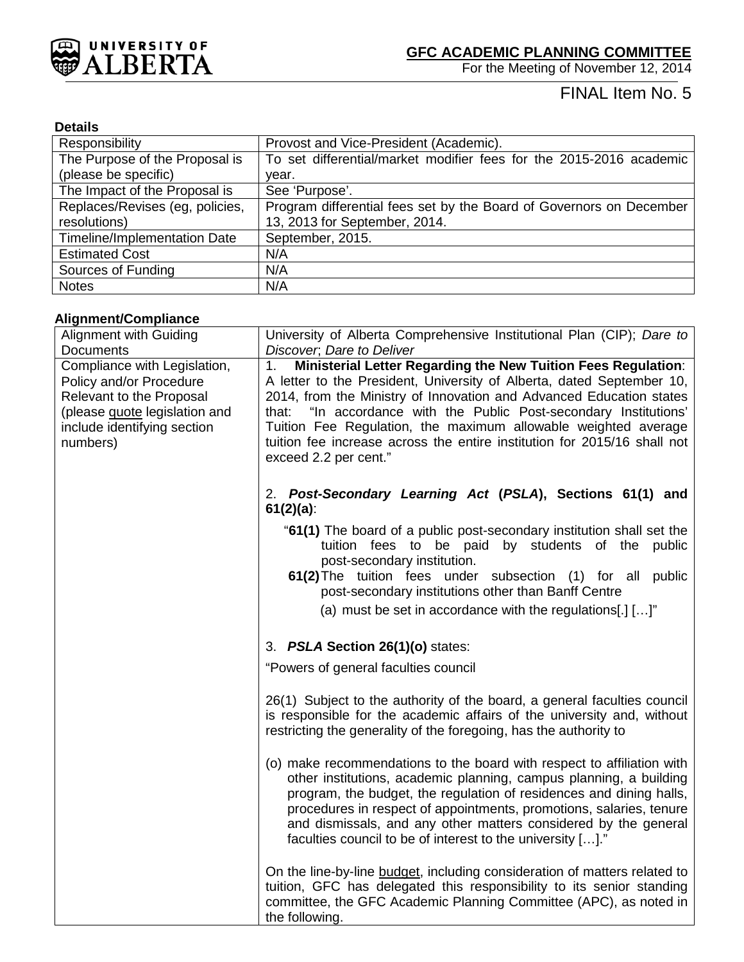

# FINAL Item No. 5

# **Details**

| Responsibility                      | Provost and Vice-President (Academic).                              |
|-------------------------------------|---------------------------------------------------------------------|
| The Purpose of the Proposal is      | To set differential/market modifier fees for the 2015-2016 academic |
| (please be specific)                | year.                                                               |
| The Impact of the Proposal is       | See 'Purpose'.                                                      |
| Replaces/Revises (eg, policies,     | Program differential fees set by the Board of Governors on December |
| resolutions)                        | 13, 2013 for September, 2014.                                       |
| <b>Timeline/Implementation Date</b> | September, 2015.                                                    |
| <b>Estimated Cost</b>               | N/A                                                                 |
| Sources of Funding                  | N/A                                                                 |
| <b>Notes</b>                        | N/A                                                                 |

# **Alignment/Compliance**

| <b>Alignment with Guiding</b>                           | University of Alberta Comprehensive Institutional Plan (CIP); Dare to                                                                                                                                                                                                                                                                                                                                                       |
|---------------------------------------------------------|-----------------------------------------------------------------------------------------------------------------------------------------------------------------------------------------------------------------------------------------------------------------------------------------------------------------------------------------------------------------------------------------------------------------------------|
| Documents                                               | Discover, Dare to Deliver                                                                                                                                                                                                                                                                                                                                                                                                   |
| Compliance with Legislation,<br>Policy and/or Procedure | Ministerial Letter Regarding the New Tuition Fees Regulation:<br>1 <sub>1</sub><br>A letter to the President, University of Alberta, dated September 10,                                                                                                                                                                                                                                                                    |
| Relevant to the Proposal                                | 2014, from the Ministry of Innovation and Advanced Education states                                                                                                                                                                                                                                                                                                                                                         |
| (please guote legislation and                           | that: "In accordance with the Public Post-secondary Institutions'                                                                                                                                                                                                                                                                                                                                                           |
| include identifying section                             | Tuition Fee Regulation, the maximum allowable weighted average                                                                                                                                                                                                                                                                                                                                                              |
| numbers)                                                | tuition fee increase across the entire institution for 2015/16 shall not<br>exceed 2.2 per cent."                                                                                                                                                                                                                                                                                                                           |
|                                                         | 2. Post-Secondary Learning Act (PSLA), Sections 61(1) and<br>$61(2)(a)$ :                                                                                                                                                                                                                                                                                                                                                   |
|                                                         | "61(1) The board of a public post-secondary institution shall set the<br>tuition fees to be paid by students of the<br>public<br>post-secondary institution.                                                                                                                                                                                                                                                                |
|                                                         | 61(2) The tuition fees under subsection (1) for all<br>public<br>post-secondary institutions other than Banff Centre                                                                                                                                                                                                                                                                                                        |
|                                                         | (a) must be set in accordance with the regulations[.] $[]$ "                                                                                                                                                                                                                                                                                                                                                                |
|                                                         | 3. PSLA Section 26(1)(o) states:                                                                                                                                                                                                                                                                                                                                                                                            |
|                                                         | "Powers of general faculties council                                                                                                                                                                                                                                                                                                                                                                                        |
|                                                         | 26(1) Subject to the authority of the board, a general faculties council<br>is responsible for the academic affairs of the university and, without<br>restricting the generality of the foregoing, has the authority to                                                                                                                                                                                                     |
|                                                         | (o) make recommendations to the board with respect to affiliation with<br>other institutions, academic planning, campus planning, a building<br>program, the budget, the regulation of residences and dining halls,<br>procedures in respect of appointments, promotions, salaries, tenure<br>and dismissals, and any other matters considered by the general<br>faculties council to be of interest to the university []." |
|                                                         | On the line-by-line budget, including consideration of matters related to<br>tuition, GFC has delegated this responsibility to its senior standing<br>committee, the GFC Academic Planning Committee (APC), as noted in<br>the following.                                                                                                                                                                                   |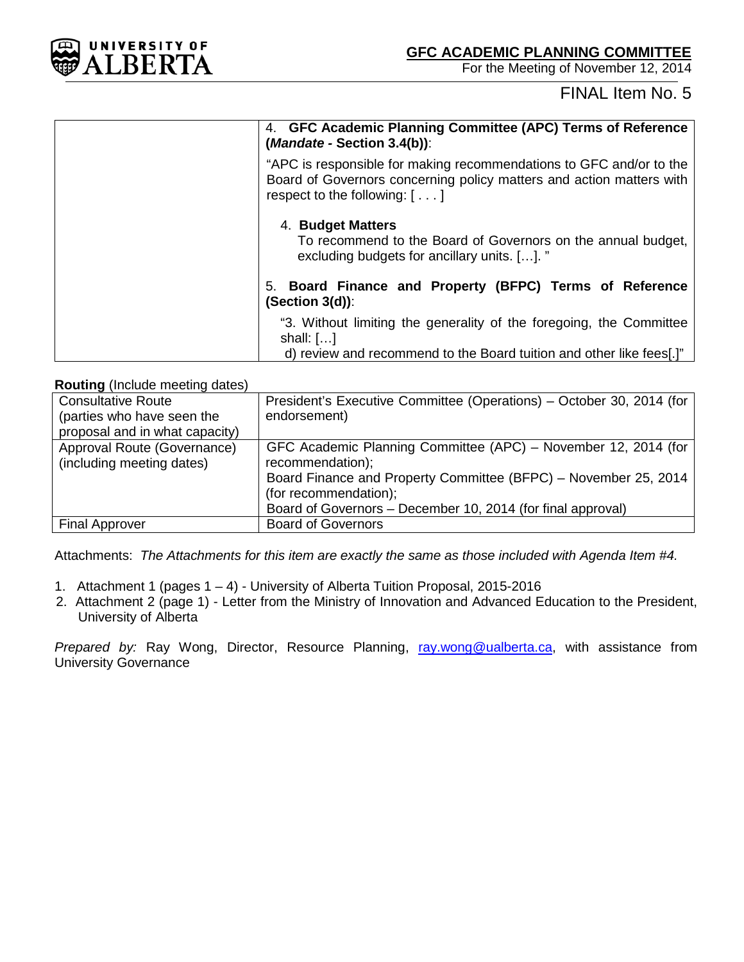

# FINAL Item No. 5

| 4. GFC Academic Planning Committee (APC) Terms of Reference<br>$(Mandate - Section 3.4(b))$ :                                                                                         |
|---------------------------------------------------------------------------------------------------------------------------------------------------------------------------------------|
| "APC is responsible for making recommendations to GFC and/or to the<br>Board of Governors concerning policy matters and action matters with<br>respect to the following: $[ \ldots ]$ |
| 4. Budget Matters<br>To recommend to the Board of Governors on the annual budget,<br>excluding budgets for ancillary units. []. "                                                     |
| 5. Board Finance and Property (BFPC) Terms of Reference<br>$(Section 3(d))$ :                                                                                                         |
| "3. Without limiting the generality of the foregoing, the Committee<br>shall: $[]$<br>d) review and recommend to the Board tuition and other like fees[.]"                            |

# **Routing** (Include meeting dates)

| President's Executive Committee (Operations) - October 30, 2014 (for |
|----------------------------------------------------------------------|
| endorsement)                                                         |
|                                                                      |
| GFC Academic Planning Committee (APC) – November 12, 2014 (for       |
| recommendation);                                                     |
| Board Finance and Property Committee (BFPC) - November 25, 2014      |
| (for recommendation);                                                |
| Board of Governors – December 10, 2014 (for final approval)          |
| <b>Board of Governors</b>                                            |
|                                                                      |

Attachments: *The Attachments for this item are exactly the same as those included with Agenda Item #4.*

- 1. Attachment 1 (pages 1 4) University of Alberta Tuition Proposal, 2015-2016
- 2. Attachment 2 (page 1) Letter from the Ministry of Innovation and Advanced Education to the President, University of Alberta

*Prepared by:* Ray Wong, Director, Resource Planning, [ray.wong@ualberta.ca,](mailto:ray.wong@ualberta.ca) with assistance from University Governance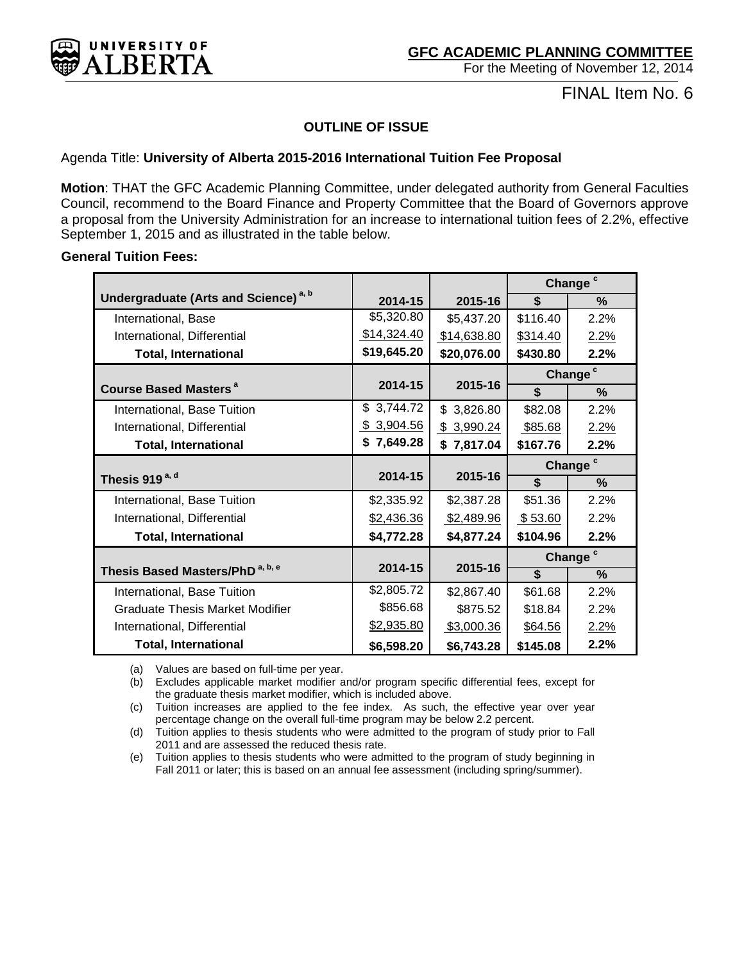<span id="page-14-0"></span>

FINAL Item No. 6

# **OUTLINE OF ISSUE**

# Agenda Title: **University of Alberta 2015-2016 International Tuition Fee Proposal**

**Motion**: THAT the GFC Academic Planning Committee, under delegated authority from General Faculties Council, recommend to the Board Finance and Property Committee that the Board of Governors approve a proposal from the University Administration for an increase to international tuition fees of 2.2%, effective September 1, 2015 and as illustrated in the table below.

# **General Tuition Fees:**

|                                                  |             | Change <sup>c</sup> |                         |                     |
|--------------------------------------------------|-------------|---------------------|-------------------------|---------------------|
| Undergraduate (Arts and Science) <sup>a, b</sup> | 2014-15     | 2015-16             | \$                      | $\%$                |
| International, Base                              | \$5,320.80  | \$5,437.20          | \$116.40                | 2.2%                |
| International, Differential                      | \$14,324.40 | \$14,638.80         | \$314.40                | 2.2%                |
| <b>Total, International</b>                      | \$19,645.20 | \$20,076.00         | \$430.80                | 2.2%                |
|                                                  |             |                     |                         | Change <sup>c</sup> |
| <b>Course Based Masters<sup>a</sup></b>          | 2014-15     | 2015-16             | \$                      | %                   |
| International, Base Tuition                      | \$3,744.72  | \$3,826.80          | \$82.08                 | 2.2%                |
| International, Differential                      | \$3,904.56  | \$3,990.24          | \$85.68                 | 2.2%                |
| <b>Total, International</b>                      | \$7,649.28  | \$7,817.04          | \$167.76                | 2.2%                |
|                                                  |             |                     | Change <sup>c</sup>     |                     |
| Thesis 919 <sup>a, d</sup>                       | 2014-15     | 2015-16             | $\overline{\mathbf{s}}$ | $\%$                |
| International, Base Tuition                      | \$2,335.92  | \$2,387.28          | \$51.36                 | 2.2%                |
| International, Differential                      | \$2,436.36  | \$2,489.96          | \$53.60                 | 2.2%                |
| <b>Total, International</b>                      | \$4,772.28  | \$4,877.24          | \$104.96                | 2.2%                |
|                                                  |             |                     |                         | Change <sup>c</sup> |
| Thesis Based Masters/PhD <sup>a, b, e</sup>      | 2014-15     | 2015-16             | $\overline{\mathbf{s}}$ | $\%$                |
| International, Base Tuition                      | \$2,805.72  | \$2,867.40          | \$61.68                 | 2.2%                |
| Graduate Thesis Market Modifier                  | \$856.68    | \$875.52            | \$18.84                 | 2.2%                |
| International, Differential                      | \$2,935.80  | \$3,000.36          | \$64.56                 | 2.2%                |
| <b>Total, International</b>                      | \$6,598.20  | \$6,743.28          | \$145.08                | 2.2%                |

(a) Values are based on full-time per year.

(b) Excludes applicable market modifier and/or program specific differential fees, except for the graduate thesis market modifier, which is included above.

(c) Tuition increases are applied to the fee index. As such, the effective year over year percentage change on the overall full-time program may be below 2.2 percent.

(d) Tuition applies to thesis students who were admitted to the program of study prior to Fall 2011 and are assessed the reduced thesis rate.

(e) Tuition applies to thesis students who were admitted to the program of study beginning in Fall 2011 or later; this is based on an annual fee assessment (including spring/summer).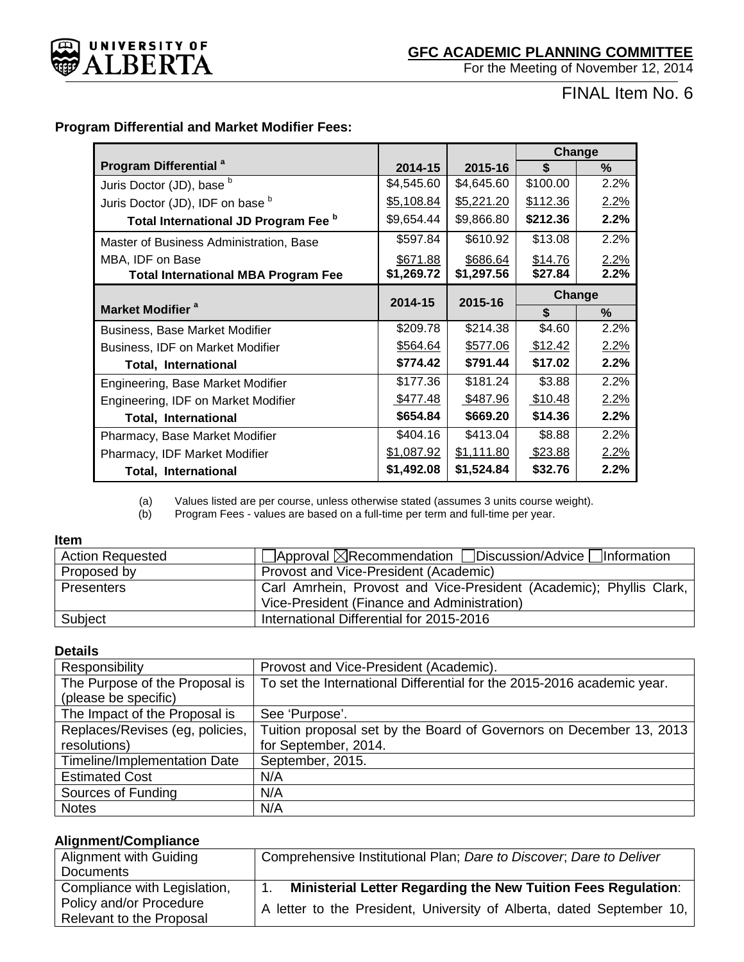

# FINAL Item No. 6

# **Program Differential and Market Modifier Fees:**

|                                                 |            |            | Change   |        |
|-------------------------------------------------|------------|------------|----------|--------|
| Program Differential <sup>a</sup>               | 2014-15    | 2015-16    | \$       | $\%$   |
| Juris Doctor (JD), base b                       | \$4,545.60 | \$4,645.60 | \$100.00 | 2.2%   |
| Juris Doctor (JD), IDF on base b                | \$5,108.84 | \$5,221.20 | \$112.36 | 2.2%   |
| Total International JD Program Fee <sup>b</sup> | \$9,654.44 | \$9,866.80 | \$212.36 | 2.2%   |
| Master of Business Administration, Base         | \$597.84   | \$610.92   | \$13.08  | 2.2%   |
| MBA, IDF on Base                                | \$671.88   | \$686.64   | \$14.76  | 2.2%   |
| <b>Total International MBA Program Fee</b>      | \$1,269.72 | \$1,297.56 | \$27.84  | 2.2%   |
|                                                 | 2014-15    | 2015-16    |          | Change |
| Market Modifier <sup>a</sup>                    |            |            | \$       | $\%$   |
| <b>Business, Base Market Modifier</b>           | \$209.78   | \$214.38   | \$4.60   | 2.2%   |
| Business, IDF on Market Modifier                | \$564.64   | \$577.06   | \$12.42  | 2.2%   |
| <b>Total, International</b>                     | \$774.42   | \$791.44   | \$17.02  | 2.2%   |
| Engineering, Base Market Modifier               | \$177.36   | \$181.24   | \$3.88   | 2.2%   |
| Engineering, IDF on Market Modifier             | \$477.48   | \$487.96   | \$10.48  | 2.2%   |
| <b>Total, International</b>                     | \$654.84   | \$669.20   | \$14.36  | 2.2%   |
| Pharmacy, Base Market Modifier                  | \$404.16   | \$413.04   | \$8.88   | 2.2%   |
| Pharmacy, IDF Market Modifier                   | \$1,087.92 | \$1,111.80 | \$23.88  | 2.2%   |
| <b>Total, International</b>                     | \$1,492.08 | \$1,524.84 | \$32.76  | 2.2%   |

(a) Values listed are per course, unless otherwise stated (assumes 3 units course weight).

Program Fees - values are based on a full-time per term and full-time per year.

# **Item**

| <b>Action Requested</b> | $\Box$ Approval $\boxtimes$ Recommendation $\Box$ Discussion/Advice $\Box$ Information |
|-------------------------|----------------------------------------------------------------------------------------|
| Proposed by             | Provost and Vice-President (Academic)                                                  |
| <b>Presenters</b>       | Carl Amrhein, Provost and Vice-President (Academic); Phyllis Clark,                    |
|                         | Vice-President (Finance and Administration)                                            |
| Subject                 | International Differential for 2015-2016                                               |

# **Details**

| Responsibility                      | Provost and Vice-President (Academic).                                 |
|-------------------------------------|------------------------------------------------------------------------|
| The Purpose of the Proposal is      | To set the International Differential for the 2015-2016 academic year. |
| (please be specific)                |                                                                        |
| The Impact of the Proposal is       | See 'Purpose'.                                                         |
| Replaces/Revises (eg. policies,     | Tuition proposal set by the Board of Governors on December 13, 2013    |
| resolutions)                        | for September, 2014.                                                   |
| <b>Timeline/Implementation Date</b> | September, 2015.                                                       |
| <b>Estimated Cost</b>               | N/A                                                                    |
| Sources of Funding                  | N/A                                                                    |
| <b>Notes</b>                        | N/A                                                                    |

# **Alignment/Compliance**

| Alignment with Guiding       | Comprehensive Institutional Plan; Dare to Discover, Dare to Deliver   |
|------------------------------|-----------------------------------------------------------------------|
| Documents                    |                                                                       |
| Compliance with Legislation, | <b>Ministerial Letter Regarding the New Tuition Fees Regulation:</b>  |
| Policy and/or Procedure      | A letter to the President, University of Alberta, dated September 10, |
| Relevant to the Proposal     |                                                                       |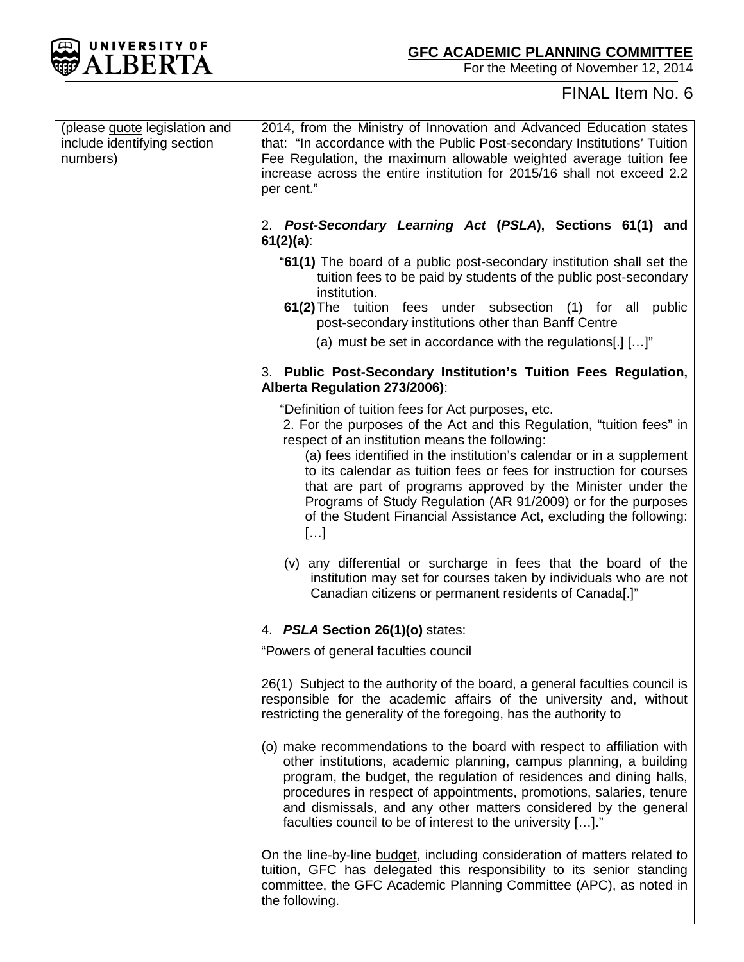

# FINAL Item No. 6

| (please guote legislation and<br>include identifying section<br>numbers) | 2014, from the Ministry of Innovation and Advanced Education states<br>that: "In accordance with the Public Post-secondary Institutions' Tuition<br>Fee Regulation, the maximum allowable weighted average tuition fee<br>increase across the entire institution for 2015/16 shall not exceed 2.2<br>per cent."                                                                                                                                                                                                                          |
|--------------------------------------------------------------------------|------------------------------------------------------------------------------------------------------------------------------------------------------------------------------------------------------------------------------------------------------------------------------------------------------------------------------------------------------------------------------------------------------------------------------------------------------------------------------------------------------------------------------------------|
|                                                                          | 2. Post-Secondary Learning Act (PSLA), Sections 61(1) and<br>$61(2)(a)$ :                                                                                                                                                                                                                                                                                                                                                                                                                                                                |
|                                                                          | "61(1) The board of a public post-secondary institution shall set the<br>tuition fees to be paid by students of the public post-secondary<br>institution.                                                                                                                                                                                                                                                                                                                                                                                |
|                                                                          | 61(2) The tuition fees under subsection (1) for all public<br>post-secondary institutions other than Banff Centre                                                                                                                                                                                                                                                                                                                                                                                                                        |
|                                                                          | (a) must be set in accordance with the regulations[.] $[]$ "                                                                                                                                                                                                                                                                                                                                                                                                                                                                             |
|                                                                          | 3. Public Post-Secondary Institution's Tuition Fees Regulation,<br>Alberta Regulation 273/2006):                                                                                                                                                                                                                                                                                                                                                                                                                                         |
|                                                                          | "Definition of tuition fees for Act purposes, etc.<br>2. For the purposes of the Act and this Regulation, "tuition fees" in<br>respect of an institution means the following:<br>(a) fees identified in the institution's calendar or in a supplement<br>to its calendar as tuition fees or fees for instruction for courses<br>that are part of programs approved by the Minister under the<br>Programs of Study Regulation (AR 91/2009) or for the purposes<br>of the Student Financial Assistance Act, excluding the following:<br>[] |
|                                                                          | (v) any differential or surcharge in fees that the board of the<br>institution may set for courses taken by individuals who are not<br>Canadian citizens or permanent residents of Canada[.]"                                                                                                                                                                                                                                                                                                                                            |
|                                                                          | 4. PSLA Section 26(1)(o) states:                                                                                                                                                                                                                                                                                                                                                                                                                                                                                                         |
|                                                                          | "Powers of general faculties council                                                                                                                                                                                                                                                                                                                                                                                                                                                                                                     |
|                                                                          | 26(1) Subject to the authority of the board, a general faculties council is<br>responsible for the academic affairs of the university and, without<br>restricting the generality of the foregoing, has the authority to                                                                                                                                                                                                                                                                                                                  |
|                                                                          | (o) make recommendations to the board with respect to affiliation with<br>other institutions, academic planning, campus planning, a building<br>program, the budget, the regulation of residences and dining halls,<br>procedures in respect of appointments, promotions, salaries, tenure<br>and dismissals, and any other matters considered by the general<br>faculties council to be of interest to the university []."                                                                                                              |
|                                                                          | On the line-by-line budget, including consideration of matters related to<br>tuition, GFC has delegated this responsibility to its senior standing<br>committee, the GFC Academic Planning Committee (APC), as noted in<br>the following.                                                                                                                                                                                                                                                                                                |